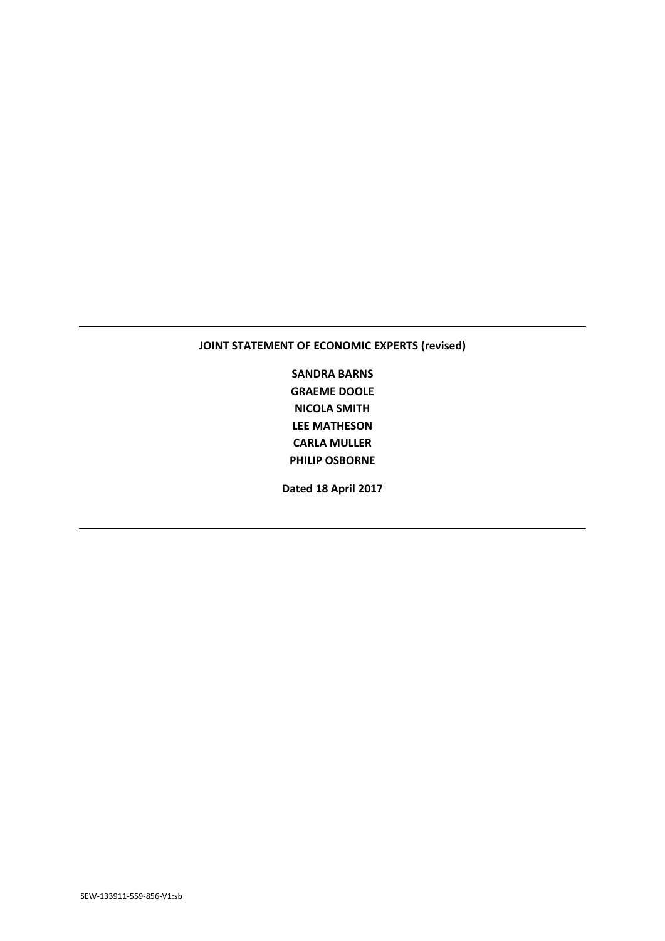# **JOINT STATEMENT OF ECONOMIC EXPERTS (revised)**

**SANDRA BARNS GRAEME DOOLE NICOLA SMITH LEE MATHESON CARLA MULLER PHILIP OSBORNE**

**Dated 18 April 2017**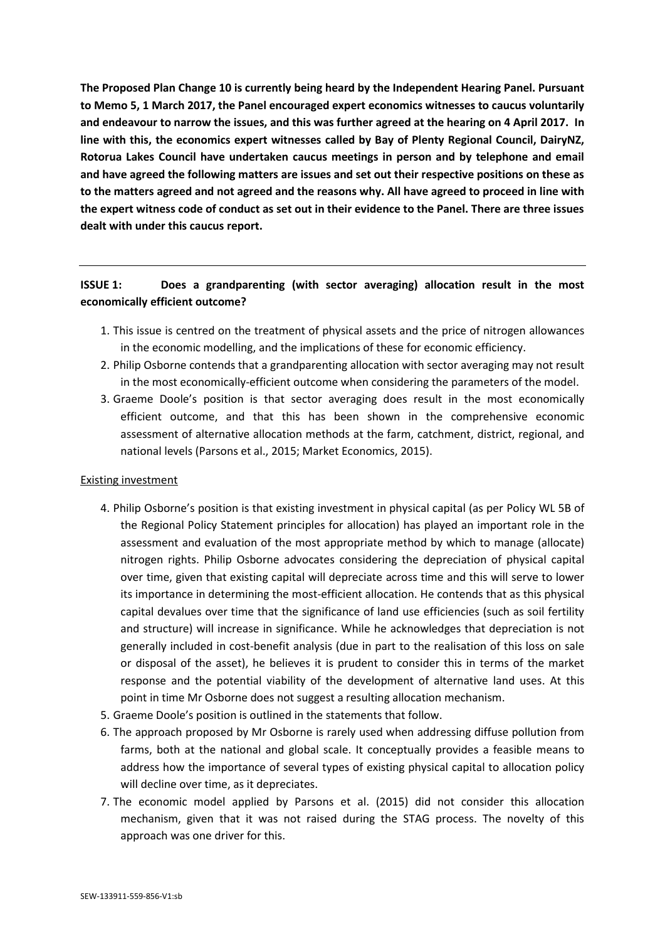**The Proposed Plan Change 10 is currently being heard by the Independent Hearing Panel. Pursuant to Memo 5, 1 March 2017, the Panel encouraged expert economics witnesses to caucus voluntarily and endeavour to narrow the issues, and this was further agreed at the hearing on 4 April 2017. In line with this, the economics expert witnesses called by Bay of Plenty Regional Council, DairyNZ, Rotorua Lakes Council have undertaken caucus meetings in person and by telephone and email and have agreed the following matters are issues and set out their respective positions on these as to the matters agreed and not agreed and the reasons why. All have agreed to proceed in line with the expert witness code of conduct as set out in their evidence to the Panel. There are three issues dealt with under this caucus report.** 

# **ISSUE 1: Does a grandparenting (with sector averaging) allocation result in the most economically efficient outcome?**

- 1. This issue is centred on the treatment of physical assets and the price of nitrogen allowances in the economic modelling, and the implications of these for economic efficiency.
- 2. Philip Osborne contends that a grandparenting allocation with sector averaging may not result in the most economically-efficient outcome when considering the parameters of the model.
- 3. Graeme Doole's position is that sector averaging does result in the most economically efficient outcome, and that this has been shown in the comprehensive economic assessment of alternative allocation methods at the farm, catchment, district, regional, and national levels (Parsons et al., 2015; Market Economics, 2015).

# Existing investment

- 4. Philip Osborne's position is that existing investment in physical capital (as per Policy WL 5B of the Regional Policy Statement principles for allocation) has played an important role in the assessment and evaluation of the most appropriate method by which to manage (allocate) nitrogen rights. Philip Osborne advocates considering the depreciation of physical capital over time, given that existing capital will depreciate across time and this will serve to lower its importance in determining the most-efficient allocation. He contends that as this physical capital devalues over time that the significance of land use efficiencies (such as soil fertility and structure) will increase in significance. While he acknowledges that depreciation is not generally included in cost-benefit analysis (due in part to the realisation of this loss on sale or disposal of the asset), he believes it is prudent to consider this in terms of the market response and the potential viability of the development of alternative land uses. At this point in time Mr Osborne does not suggest a resulting allocation mechanism.
- 5. Graeme Doole's position is outlined in the statements that follow.
- 6. The approach proposed by Mr Osborne is rarely used when addressing diffuse pollution from farms, both at the national and global scale. It conceptually provides a feasible means to address how the importance of several types of existing physical capital to allocation policy will decline over time, as it depreciates.
- 7. The economic model applied by Parsons et al. (2015) did not consider this allocation mechanism, given that it was not raised during the STAG process. The novelty of this approach was one driver for this.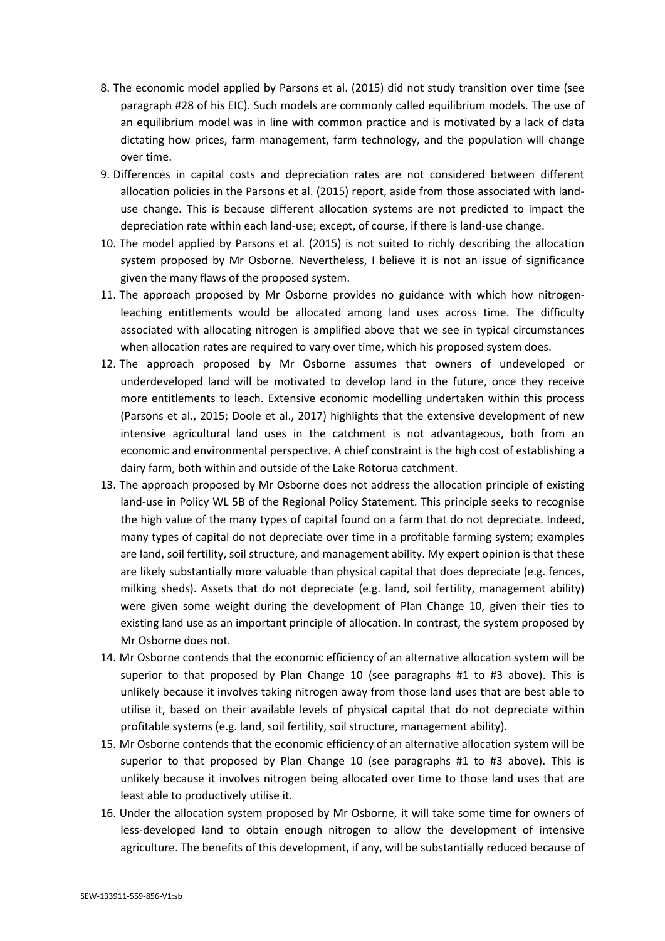- 8. The economic model applied by Parsons et al. (2015) did not study transition over time (see paragraph #28 of his EIC). Such models are commonly called equilibrium models. The use of an equilibrium model was in line with common practice and is motivated by a lack of data dictating how prices, farm management, farm technology, and the population will change over time.
- 9. Differences in capital costs and depreciation rates are not considered between different allocation policies in the Parsons et al. (2015) report, aside from those associated with landuse change. This is because different allocation systems are not predicted to impact the depreciation rate within each land-use; except, of course, if there is land-use change.
- 10. The model applied by Parsons et al. (2015) is not suited to richly describing the allocation system proposed by Mr Osborne. Nevertheless, I believe it is not an issue of significance given the many flaws of the proposed system.
- 11. The approach proposed by Mr Osborne provides no guidance with which how nitrogenleaching entitlements would be allocated among land uses across time. The difficulty associated with allocating nitrogen is amplified above that we see in typical circumstances when allocation rates are required to vary over time, which his proposed system does.
- 12. The approach proposed by Mr Osborne assumes that owners of undeveloped or underdeveloped land will be motivated to develop land in the future, once they receive more entitlements to leach. Extensive economic modelling undertaken within this process (Parsons et al., 2015; Doole et al., 2017) highlights that the extensive development of new intensive agricultural land uses in the catchment is not advantageous, both from an economic and environmental perspective. A chief constraint is the high cost of establishing a dairy farm, both within and outside of the Lake Rotorua catchment.
- 13. The approach proposed by Mr Osborne does not address the allocation principle of existing land-use in Policy WL 5B of the Regional Policy Statement. This principle seeks to recognise the high value of the many types of capital found on a farm that do not depreciate. Indeed, many types of capital do not depreciate over time in a profitable farming system; examples are land, soil fertility, soil structure, and management ability. My expert opinion is that these are likely substantially more valuable than physical capital that does depreciate (e.g. fences, milking sheds). Assets that do not depreciate (e.g. land, soil fertility, management ability) were given some weight during the development of Plan Change 10, given their ties to existing land use as an important principle of allocation. In contrast, the system proposed by Mr Osborne does not.
- 14. Mr Osborne contends that the economic efficiency of an alternative allocation system will be superior to that proposed by Plan Change 10 (see paragraphs #1 to #3 above). This is unlikely because it involves taking nitrogen away from those land uses that are best able to utilise it, based on their available levels of physical capital that do not depreciate within profitable systems (e.g. land, soil fertility, soil structure, management ability).
- 15. Mr Osborne contends that the economic efficiency of an alternative allocation system will be superior to that proposed by Plan Change 10 (see paragraphs #1 to #3 above). This is unlikely because it involves nitrogen being allocated over time to those land uses that are least able to productively utilise it.
- 16. Under the allocation system proposed by Mr Osborne, it will take some time for owners of less-developed land to obtain enough nitrogen to allow the development of intensive agriculture. The benefits of this development, if any, will be substantially reduced because of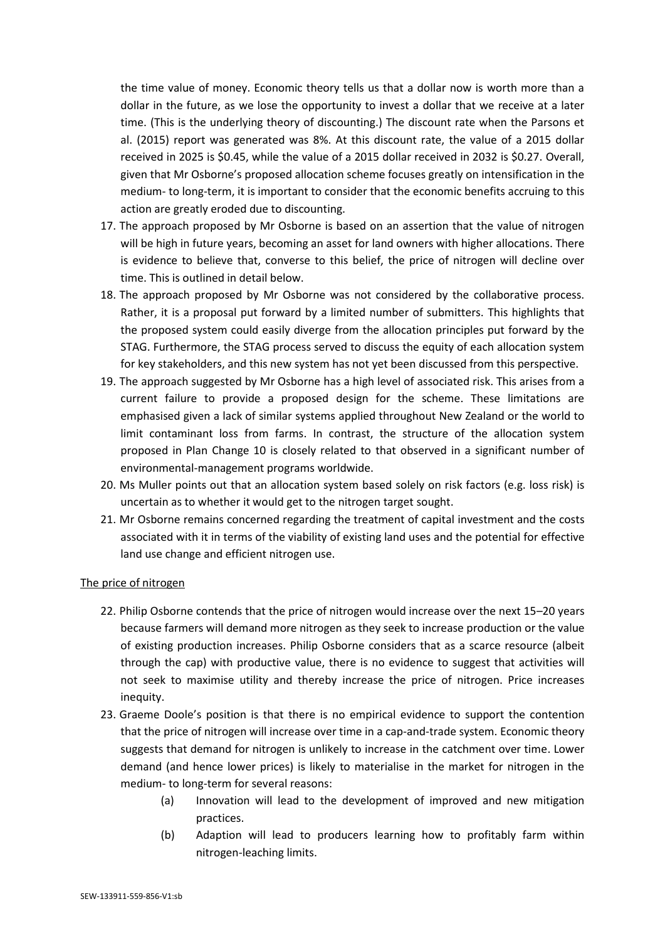the time value of money. Economic theory tells us that a dollar now is worth more than a dollar in the future, as we lose the opportunity to invest a dollar that we receive at a later time. (This is the underlying theory of discounting.) The discount rate when the Parsons et al. (2015) report was generated was 8%. At this discount rate, the value of a 2015 dollar received in 2025 is \$0.45, while the value of a 2015 dollar received in 2032 is \$0.27. Overall, given that Mr Osborne's proposed allocation scheme focuses greatly on intensification in the medium- to long-term, it is important to consider that the economic benefits accruing to this action are greatly eroded due to discounting.

- 17. The approach proposed by Mr Osborne is based on an assertion that the value of nitrogen will be high in future years, becoming an asset for land owners with higher allocations. There is evidence to believe that, converse to this belief, the price of nitrogen will decline over time. This is outlined in detail below.
- 18. The approach proposed by Mr Osborne was not considered by the collaborative process. Rather, it is a proposal put forward by a limited number of submitters. This highlights that the proposed system could easily diverge from the allocation principles put forward by the STAG. Furthermore, the STAG process served to discuss the equity of each allocation system for key stakeholders, and this new system has not yet been discussed from this perspective.
- 19. The approach suggested by Mr Osborne has a high level of associated risk. This arises from a current failure to provide a proposed design for the scheme. These limitations are emphasised given a lack of similar systems applied throughout New Zealand or the world to limit contaminant loss from farms. In contrast, the structure of the allocation system proposed in Plan Change 10 is closely related to that observed in a significant number of environmental-management programs worldwide.
- 20. Ms Muller points out that an allocation system based solely on risk factors (e.g. loss risk) is uncertain as to whether it would get to the nitrogen target sought.
- 21. Mr Osborne remains concerned regarding the treatment of capital investment and the costs associated with it in terms of the viability of existing land uses and the potential for effective land use change and efficient nitrogen use.

# The price of nitrogen

- 22. Philip Osborne contends that the price of nitrogen would increase over the next 15–20 years because farmers will demand more nitrogen as they seek to increase production or the value of existing production increases. Philip Osborne considers that as a scarce resource (albeit through the cap) with productive value, there is no evidence to suggest that activities will not seek to maximise utility and thereby increase the price of nitrogen. Price increases inequity.
- 23. Graeme Doole's position is that there is no empirical evidence to support the contention that the price of nitrogen will increase over time in a cap-and-trade system. Economic theory suggests that demand for nitrogen is unlikely to increase in the catchment over time. Lower demand (and hence lower prices) is likely to materialise in the market for nitrogen in the medium- to long-term for several reasons:
	- (a) Innovation will lead to the development of improved and new mitigation practices.
	- (b) Adaption will lead to producers learning how to profitably farm within nitrogen-leaching limits.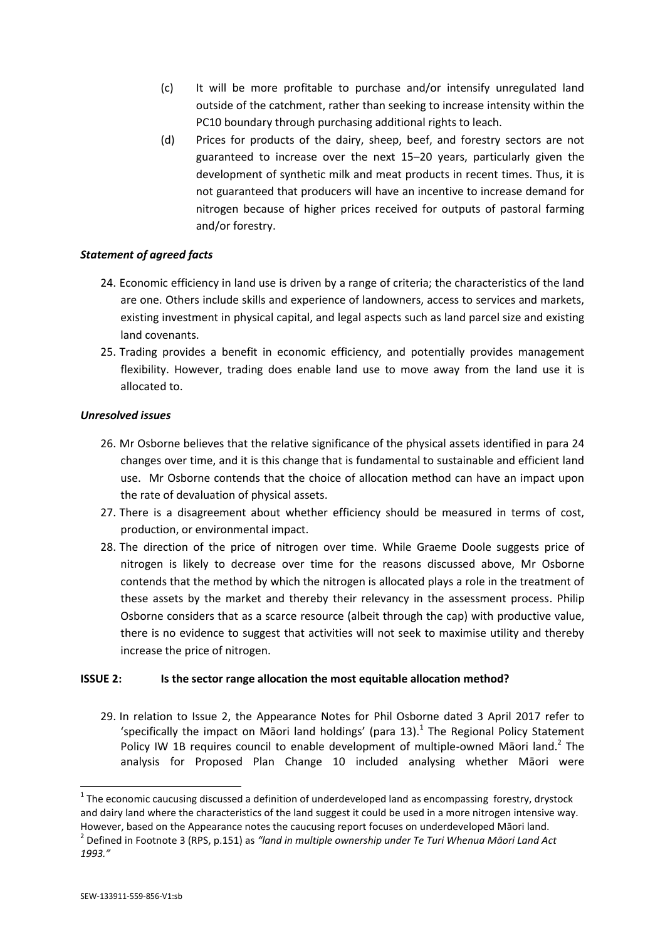- (c) It will be more profitable to purchase and/or intensify unregulated land outside of the catchment, rather than seeking to increase intensity within the PC10 boundary through purchasing additional rights to leach.
- (d) Prices for products of the dairy, sheep, beef, and forestry sectors are not guaranteed to increase over the next 15–20 years, particularly given the development of synthetic milk and meat products in recent times. Thus, it is not guaranteed that producers will have an incentive to increase demand for nitrogen because of higher prices received for outputs of pastoral farming and/or forestry.

# *Statement of agreed facts*

- 24. Economic efficiency in land use is driven by a range of criteria; the characteristics of the land are one. Others include skills and experience of landowners, access to services and markets, existing investment in physical capital, and legal aspects such as land parcel size and existing land covenants.
- 25. Trading provides a benefit in economic efficiency, and potentially provides management flexibility. However, trading does enable land use to move away from the land use it is allocated to.

# *Unresolved issues*

- 26. Mr Osborne believes that the relative significance of the physical assets identified in para 24 changes over time, and it is this change that is fundamental to sustainable and efficient land use. Mr Osborne contends that the choice of allocation method can have an impact upon the rate of devaluation of physical assets.
- 27. There is a disagreement about whether efficiency should be measured in terms of cost, production, or environmental impact.
- 28. The direction of the price of nitrogen over time. While Graeme Doole suggests price of nitrogen is likely to decrease over time for the reasons discussed above, Mr Osborne contends that the method by which the nitrogen is allocated plays a role in the treatment of these assets by the market and thereby their relevancy in the assessment process. Philip Osborne considers that as a scarce resource (albeit through the cap) with productive value, there is no evidence to suggest that activities will not seek to maximise utility and thereby increase the price of nitrogen.

# **ISSUE 2: Is the sector range allocation the most equitable allocation method?**

29. In relation to Issue 2, the Appearance Notes for Phil Osborne dated 3 April 2017 refer to 'specifically the impact on Māori land holdings' (para  $13$ ).<sup>1</sup> The Regional Policy Statement Policy IW 1B requires council to enable development of multiple-owned Māori land.<sup>2</sup> The analysis for Proposed Plan Change 10 included analysing whether Māori were

 $\overline{a}$ 

 $1$  The economic caucusing discussed a definition of underdeveloped land as encompassing forestry, drystock and dairy land where the characteristics of the land suggest it could be used in a more nitrogen intensive way. However, based on the Appearance notes the caucusing report focuses on underdeveloped Māori land.

<sup>2</sup> Defined in Footnote 3 (RPS, p.151) as *"land in multiple ownership under Te Turi Whenua Māori Land Act 1993."*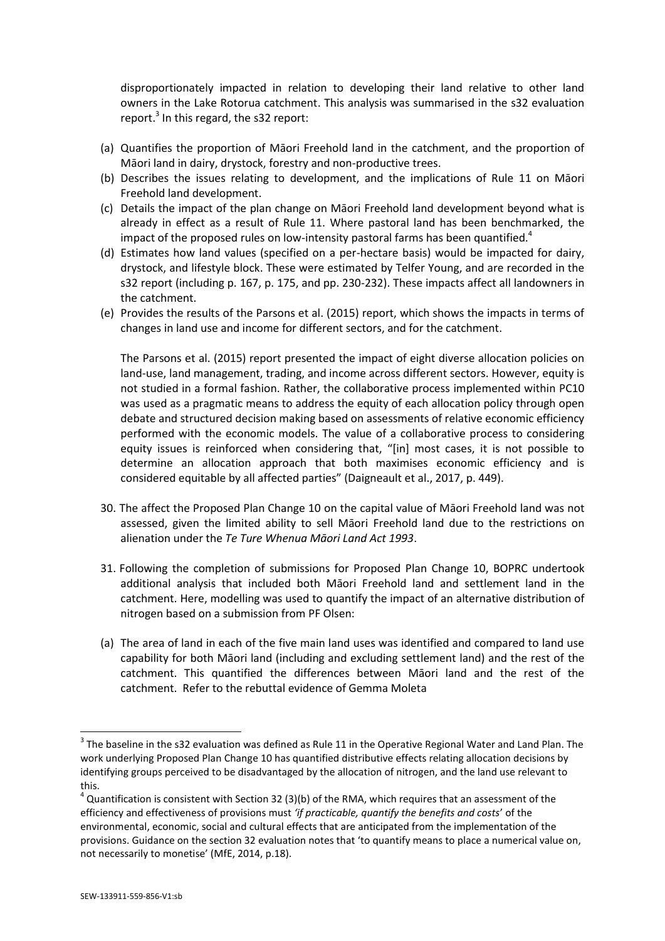disproportionately impacted in relation to developing their land relative to other land owners in the Lake Rotorua catchment. This analysis was summarised in the s32 evaluation report.<sup>3</sup> In this regard, the s32 report:

- (a) Quantifies the proportion of Māori Freehold land in the catchment, and the proportion of Māori land in dairy, drystock, forestry and non-productive trees.
- (b) Describes the issues relating to development, and the implications of Rule 11 on Māori Freehold land development.
- (c) Details the impact of the plan change on Māori Freehold land development beyond what is already in effect as a result of Rule 11. Where pastoral land has been benchmarked, the impact of the proposed rules on low-intensity pastoral farms has been quantified.<sup>4</sup>
- (d) Estimates how land values (specified on a per-hectare basis) would be impacted for dairy, drystock, and lifestyle block. These were estimated by Telfer Young, and are recorded in the s32 report (including p. 167, p. 175, and pp. 230-232). These impacts affect all landowners in the catchment.
- (e) Provides the results of the Parsons et al. (2015) report, which shows the impacts in terms of changes in land use and income for different sectors, and for the catchment.

The Parsons et al. (2015) report presented the impact of eight diverse allocation policies on land-use, land management, trading, and income across different sectors. However, equity is not studied in a formal fashion. Rather, the collaborative process implemented within PC10 was used as a pragmatic means to address the equity of each allocation policy through open debate and structured decision making based on assessments of relative economic efficiency performed with the economic models. The value of a collaborative process to considering equity issues is reinforced when considering that, "[in] most cases, it is not possible to determine an allocation approach that both maximises economic efficiency and is considered equitable by all affected parties" (Daigneault et al., 2017, p. 449).

- 30. The affect the Proposed Plan Change 10 on the capital value of Māori Freehold land was not assessed, given the limited ability to sell Māori Freehold land due to the restrictions on alienation under the *Te Ture Whenua Māori Land Act 1993*.
- 31. Following the completion of submissions for Proposed Plan Change 10, BOPRC undertook additional analysis that included both Māori Freehold land and settlement land in the catchment. Here, modelling was used to quantify the impact of an alternative distribution of nitrogen based on a submission from PF Olsen:
- (a) The area of land in each of the five main land uses was identified and compared to land use capability for both Māori land (including and excluding settlement land) and the rest of the catchment. This quantified the differences between Māori land and the rest of the catchment. Refer to the rebuttal evidence of Gemma Moleta

**.** 

 $3$  The baseline in the s32 evaluation was defined as Rule 11 in the Operative Regional Water and Land Plan. The work underlying Proposed Plan Change 10 has quantified distributive effects relating allocation decisions by identifying groups perceived to be disadvantaged by the allocation of nitrogen, and the land use relevant to this.

 $^4$  Quantification is consistent with Section 32 (3)(b) of the RMA, which requires that an assessment of the efficiency and effectiveness of provisions must *'if practicable, quantify the benefits and costs*' of the environmental, economic, social and cultural effects that are anticipated from the implementation of the provisions. Guidance on the section 32 evaluation notes that 'to quantify means to place a numerical value on, not necessarily to monetise' (MfE, 2014, p.18).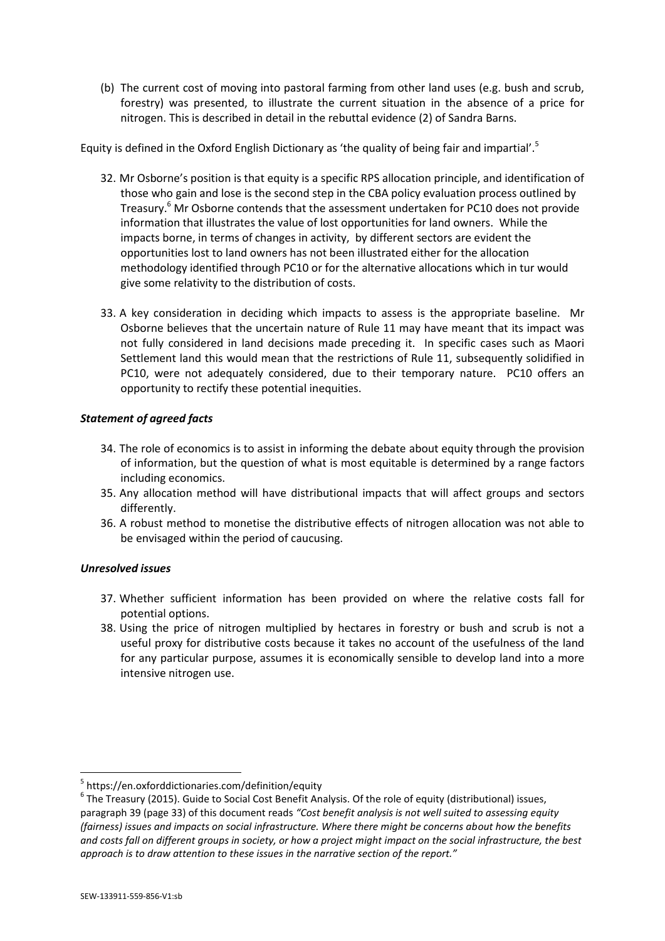(b) The current cost of moving into pastoral farming from other land uses (e.g. bush and scrub, forestry) was presented, to illustrate the current situation in the absence of a price for nitrogen. This is described in detail in the rebuttal evidence (2) of Sandra Barns.

Equity is defined in the Oxford English Dictionary as 'the quality of being fair and impartial'.<sup>5</sup>

- 32. Mr Osborne's position is that equity is a specific RPS allocation principle, and identification of those who gain and lose is the second step in the CBA policy evaluation process outlined by Treasury. <sup>6</sup> Mr Osborne contends that the assessment undertaken for PC10 does not provide information that illustrates the value of lost opportunities for land owners. While the impacts borne, in terms of changes in activity, by different sectors are evident the opportunities lost to land owners has not been illustrated either for the allocation methodology identified through PC10 or for the alternative allocations which in tur would give some relativity to the distribution of costs.
- 33. A key consideration in deciding which impacts to assess is the appropriate baseline. Mr Osborne believes that the uncertain nature of Rule 11 may have meant that its impact was not fully considered in land decisions made preceding it. In specific cases such as Maori Settlement land this would mean that the restrictions of Rule 11, subsequently solidified in PC10, were not adequately considered, due to their temporary nature. PC10 offers an opportunity to rectify these potential inequities.

# *Statement of agreed facts*

- 34. The role of economics is to assist in informing the debate about equity through the provision of information, but the question of what is most equitable is determined by a range factors including economics.
- 35. Any allocation method will have distributional impacts that will affect groups and sectors differently.
- 36. A robust method to monetise the distributive effects of nitrogen allocation was not able to be envisaged within the period of caucusing.

# *Unresolved issues*

- 37. Whether sufficient information has been provided on where the relative costs fall for potential options.
- 38. Using the price of nitrogen multiplied by hectares in forestry or bush and scrub is not a useful proxy for distributive costs because it takes no account of the usefulness of the land for any particular purpose, assumes it is economically sensible to develop land into a more intensive nitrogen use.

 5 https://en.oxforddictionaries.com/definition/equity

 $^6$  The Treasury (2015). Guide to Social Cost Benefit Analysis. Of the role of equity (distributional) issues, paragraph 39 (page 33) of this document reads *"Cost benefit analysis is not well suited to assessing equity (fairness) issues and impacts on social infrastructure. Where there might be concerns about how the benefits and costs fall on different groups in society, or how a project might impact on the social infrastructure, the best approach is to draw attention to these issues in the narrative section of the report."*